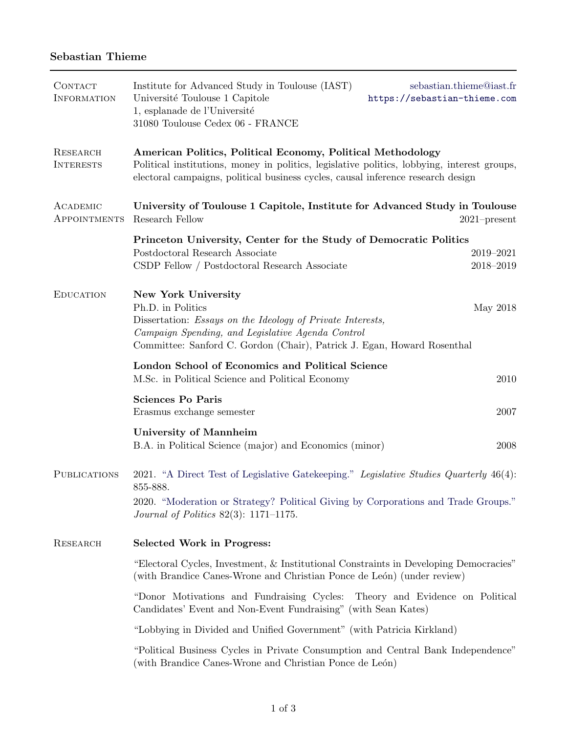# Sebastian Thieme

| <b>CONTACT</b><br><b>INFORMATION</b> | Institute for Advanced Study in Toulouse (IAST)<br>Université Toulouse 1 Capitole<br>1, esplanade de l'Université<br>31080 Toulouse Cedex 06 - FRANCE                                                                                                 | sebastian.thieme@iast.fr<br>https://sebastian-thieme.com |  |
|--------------------------------------|-------------------------------------------------------------------------------------------------------------------------------------------------------------------------------------------------------------------------------------------------------|----------------------------------------------------------|--|
| <b>RESEARCH</b><br><b>INTERESTS</b>  | American Politics, Political Economy, Political Methodology<br>Political institutions, money in politics, legislative politics, lobbying, interest groups,<br>electoral campaigns, political business cycles, causal inference research design        |                                                          |  |
| ACADEMIC<br>APPOINTMENTS             | University of Toulouse 1 Capitole, Institute for Advanced Study in Toulouse<br>Research Fellow                                                                                                                                                        | $2021$ -present                                          |  |
|                                      | Princeton University, Center for the Study of Democratic Politics<br>Postdoctoral Research Associate<br>CSDP Fellow / Postdoctoral Research Associate                                                                                                 | 2019-2021<br>2018-2019                                   |  |
| <b>EDUCATION</b>                     | <b>New York University</b><br>Ph.D. in Politics<br>Dissertation: <i>Essays on the Ideology of Private Interests</i> ,<br>Campaign Spending, and Legislative Agenda Control<br>Committee: Sanford C. Gordon (Chair), Patrick J. Egan, Howard Rosenthal | May 2018                                                 |  |
|                                      | London School of Economics and Political Science<br>M.Sc. in Political Science and Political Economy                                                                                                                                                  | 2010                                                     |  |
|                                      | <b>Sciences Po Paris</b><br>Erasmus exchange semester                                                                                                                                                                                                 | 2007                                                     |  |
|                                      | <b>University of Mannheim</b><br>B.A. in Political Science (major) and Economics (minor)                                                                                                                                                              | 2008                                                     |  |
| <b>PUBLICATIONS</b>                  | 2021. "A Direct Test of Legislative Gatekeeping." Legislative Studies Quarterly 46(4):<br>855-888.<br>2020. "Moderation or Strategy? Political Giving by Corporations and Trade Groups."<br><i>Journal of Politics</i> $82(3)$ : 1171-1175.           |                                                          |  |
| <b>RESEARCH</b>                      | <b>Selected Work in Progress:</b>                                                                                                                                                                                                                     |                                                          |  |
|                                      | "Electoral Cycles, Investment, & Institutional Constraints in Developing Democracies"<br>(with Brandice Canes-Wrone and Christian Ponce de León) (under review)                                                                                       |                                                          |  |
|                                      | "Donor Motivations and Fundraising Cycles:<br>Theory and Evidence on Political<br>Candidates' Event and Non-Event Fundraising" (with Sean Kates)                                                                                                      |                                                          |  |
|                                      | "Lobbying in Divided and Unified Government" (with Patricia Kirkland)                                                                                                                                                                                 |                                                          |  |
|                                      | "Political Business Cycles in Private Consumption and Central Bank Independence"<br>(with Brandice Canes-Wrone and Christian Ponce de León)                                                                                                           |                                                          |  |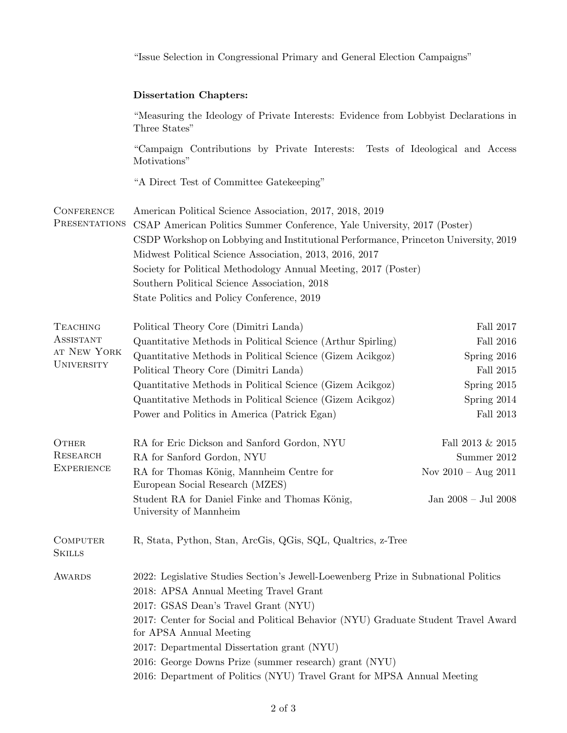|                                                                         | "Issue Selection in Congressional Primary and General Election Campaigns"                                                                                                                                                                                                                                                                                                                                                                                                  |                                                                                                       |  |
|-------------------------------------------------------------------------|----------------------------------------------------------------------------------------------------------------------------------------------------------------------------------------------------------------------------------------------------------------------------------------------------------------------------------------------------------------------------------------------------------------------------------------------------------------------------|-------------------------------------------------------------------------------------------------------|--|
|                                                                         | <b>Dissertation Chapters:</b>                                                                                                                                                                                                                                                                                                                                                                                                                                              |                                                                                                       |  |
|                                                                         | "Measuring the Ideology of Private Interests: Evidence from Lobbyist Declarations in<br>Three States"                                                                                                                                                                                                                                                                                                                                                                      |                                                                                                       |  |
|                                                                         | "Campaign Contributions by Private Interests: Tests of Ideological and Access<br>Motivations"                                                                                                                                                                                                                                                                                                                                                                              |                                                                                                       |  |
|                                                                         | "A Direct Test of Committee Gatekeeping"                                                                                                                                                                                                                                                                                                                                                                                                                                   |                                                                                                       |  |
| <b>CONFERENCE</b><br>PRESENTATIONS                                      | American Political Science Association, 2017, 2018, 2019<br>CSAP American Politics Summer Conference, Yale University, 2017 (Poster)<br>CSDP Workshop on Lobbying and Institutional Performance, Princeton University, 2019<br>Midwest Political Science Association, 2013, 2016, 2017<br>Society for Political Methodology Annual Meeting, 2017 (Poster)<br>Southern Political Science Association, 2018<br>State Politics and Policy Conference, 2019                    |                                                                                                       |  |
| <b>TEACHING</b><br><b>ASSISTANT</b><br>AT NEW YORK<br><b>UNIVERSITY</b> | Political Theory Core (Dimitri Landa)<br>Quantitative Methods in Political Science (Arthur Spirling)<br>Quantitative Methods in Political Science (Gizem Acikgoz)<br>Political Theory Core (Dimitri Landa)<br>Quantitative Methods in Political Science (Gizem Acikgoz)<br>Quantitative Methods in Political Science (Gizem Acikgoz)<br>Power and Politics in America (Patrick Egan)                                                                                       | Fall 2017<br>Fall $2016\,$<br>Spring 2016<br>Fall 2015<br>Spring 2015<br>Spring 2014<br>Fall $2013\,$ |  |
| OTHER<br><b>RESEARCH</b><br><b>EXPERIENCE</b>                           | RA for Eric Dickson and Sanford Gordon, NYU<br>RA for Sanford Gordon, NYU<br>RA for Thomas König, Mannheim Centre for<br>European Social Research (MZES)<br>Student RA for Daniel Finke and Thomas König,<br>University of Mannheim                                                                                                                                                                                                                                        | Fall 2013 & 2015<br>Summer 2012<br>Nov $2010 - Aug 2011$<br>Jan 2008 – Jul 2008                       |  |
| <b>COMPUTER</b><br><b>SKILLS</b>                                        | R, Stata, Python, Stan, ArcGis, QGis, SQL, Qualtrics, z-Tree                                                                                                                                                                                                                                                                                                                                                                                                               |                                                                                                       |  |
| <b>AWARDS</b>                                                           | 2022: Legislative Studies Section's Jewell-Loewenberg Prize in Subnational Politics<br>2018: APSA Annual Meeting Travel Grant<br>2017: GSAS Dean's Travel Grant (NYU)<br>2017: Center for Social and Political Behavior (NYU) Graduate Student Travel Award<br>for APSA Annual Meeting<br>2017: Departmental Dissertation grant (NYU)<br>2016: George Downs Prize (summer research) grant (NYU)<br>2016: Department of Politics (NYU) Travel Grant for MPSA Annual Meeting |                                                                                                       |  |